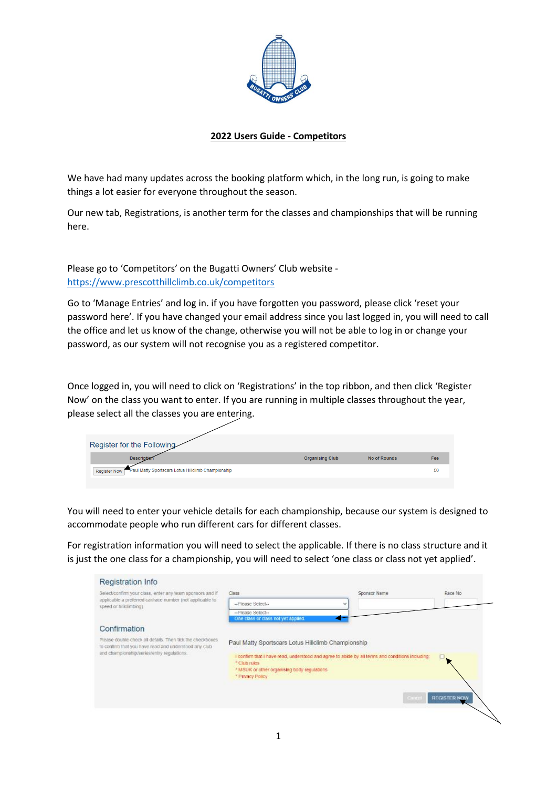

## **2022 Users Guide - Competitors**

We have had many updates across the booking platform which, in the long run, is going to make things a lot easier for everyone throughout the season.

Our new tab, Registrations, is another term for the classes and championships that will be running here.

Please go to 'Competitors' on the Bugatti Owners' Club website <https://www.prescotthillclimb.co.uk/competitors>

Go to 'Manage Entries' and log in. if you have forgotten you password, please click 'reset your password here'. If you have changed your email address since you last logged in, you will need to call the office and let us know of the change, otherwise you will not be able to log in or change your password, as our system will not recognise you as a registered competitor.

Once logged in, you will need to click on 'Registrations' in the top ribbon, and then click 'Register Now' on the class you want to enter. If you are running in multiple classes throughout the year, please select all the classes you are entering.

| Register for the Following                                      |                        |              |     |
|-----------------------------------------------------------------|------------------------|--------------|-----|
| <b>Description</b>                                              | <b>Organising Club</b> | No of Rounds | Fee |
| Register Now Paul Matty Sportscars Lotus Hillclimb Championship |                        |              | £0  |
|                                                                 |                        |              |     |

You will need to enter your vehicle details for each championship, because our system is designed to accommodate people who run different cars for different classes.

For registration information you will need to select the applicable. If there is no class structure and it is just the one class for a championship, you will need to select 'one class or class not yet applied'.

| Registration Info                                                                                                                                                 |                                                                                                                                                                                                                                            |                                               |                             |
|-------------------------------------------------------------------------------------------------------------------------------------------------------------------|--------------------------------------------------------------------------------------------------------------------------------------------------------------------------------------------------------------------------------------------|-----------------------------------------------|-----------------------------|
| Select/confirm your class, enter any team sponsors and if                                                                                                         | <b>CARDON</b><br>Class.                                                                                                                                                                                                                    | <b>December 2010</b> No. 2010<br>Sponsor Name | <b>Biography</b><br>Race No |
| applicable a preferred canhace number (not applicable to<br>speed or hillclimbing)                                                                                | -Please Select-                                                                                                                                                                                                                            |                                               |                             |
|                                                                                                                                                                   | -- Flease Select-<br>One class or class not yet applied.                                                                                                                                                                                   |                                               |                             |
| Confirmation                                                                                                                                                      |                                                                                                                                                                                                                                            |                                               |                             |
| Please double check all details. Then tick the checkboxes<br>to contirm that you have read and understood any club-<br>and championship/series/entry regulations. | Paul Matty Sportscars Lotus Hillclimb Championship<br>I confirm that I have read, understood and agree to abide by all terms and conditions including:<br>" Ciub rules.<br>* MSUK or other organising body regulations<br>* Privacy Policy | Cause                                         | <b>REGISTER NOW</b>         |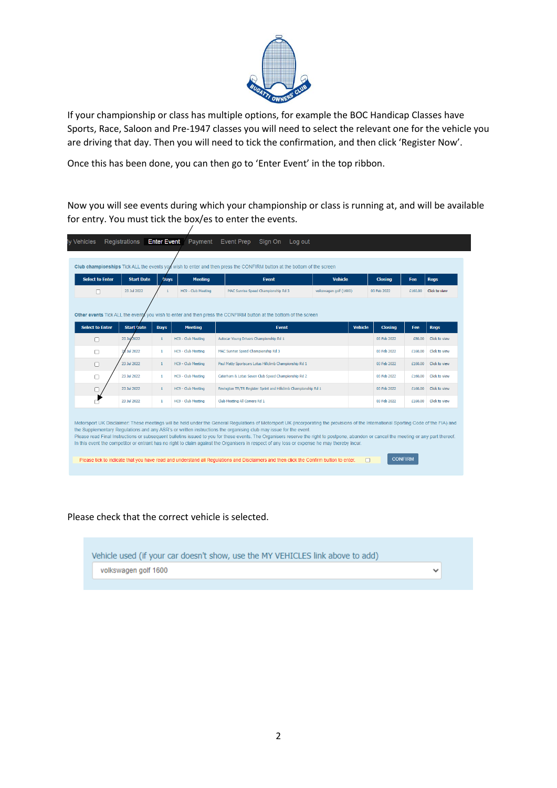

If your championship or class has multiple options, for example the BOC Handicap Classes have Sports, Race, Saloon and Pre-1947 classes you will need to select the relevant one for the vehicle you are driving that day. Then you will need to tick the confirmation, and then click 'Register Now'.

Once this has been done, you can then go to 'Enter Event' in the top ribbon.

 $\prime$ 

Now you will see events during which your championship or class is running at, and will be available for entry. You must tick the box/es to enter the events.

| <b>Select to Enter</b> | <b>Start Date</b> | <b>Days</b>  | <b>Meeting</b>     | <b>Event</b>                                                                                                                                                                                                                                                                                                                                                                                                                                                                                                                                                                                                                                                                                                                                                                                  | <b>Vehicle</b>         |                | <b>Closing</b> | Fee     | <b>Regs</b>   |
|------------------------|-------------------|--------------|--------------------|-----------------------------------------------------------------------------------------------------------------------------------------------------------------------------------------------------------------------------------------------------------------------------------------------------------------------------------------------------------------------------------------------------------------------------------------------------------------------------------------------------------------------------------------------------------------------------------------------------------------------------------------------------------------------------------------------------------------------------------------------------------------------------------------------|------------------------|----------------|----------------|---------|---------------|
| г                      | 23 Jul 2022       | $\mathbf{1}$ | HC9 - Club Meeting | MAC Sunrise Speed Championship Rd 3                                                                                                                                                                                                                                                                                                                                                                                                                                                                                                                                                                                                                                                                                                                                                           | volkswagen golf (1600) |                | 03 Feb 2022    | £160.00 | Click to view |
|                        |                   |              |                    |                                                                                                                                                                                                                                                                                                                                                                                                                                                                                                                                                                                                                                                                                                                                                                                               |                        |                |                |         |               |
| <b>Select to Enter</b> | <b>Start Date</b> | <b>Days</b>  | <b>Meeting</b>     | Other events Tick ALL the events you wish to enter and then press the CONFIRM button at the bottom of the screen<br><b>Event</b>                                                                                                                                                                                                                                                                                                                                                                                                                                                                                                                                                                                                                                                              |                        | <b>Vehicle</b> | <b>Closing</b> | Fee     | <b>Regs</b>   |
| $\Box$                 | 2022<br>23 Jul    | $\mathbf{1}$ | HC9 - Club Meeting | Autocar Young Drivers Championship Rd 1                                                                                                                                                                                                                                                                                                                                                                                                                                                                                                                                                                                                                                                                                                                                                       |                        |                | 03 Feb 2022    | £80.00  | Click to view |
| □                      | <b>Jul 2022</b>   | $\mathbf{1}$ | HC9 - Club Meeting | MAC Sunrise Speed Championship Rd 3                                                                                                                                                                                                                                                                                                                                                                                                                                                                                                                                                                                                                                                                                                                                                           |                        |                | 03 Feb 2022    | £160.00 | Click to view |
| П                      | 23 Jul 2022       | $\mathbf{1}$ | HC9 - Club Meeting | Paul Matty Sportscars Lotus Hillclimb Championship Rd 1                                                                                                                                                                                                                                                                                                                                                                                                                                                                                                                                                                                                                                                                                                                                       |                        |                | 03 Feb 2022    | £160.00 | Click to view |
| 0                      | 23 Jul 2022       | $\mathbf{1}$ | HC9 - Club Meeting | Caterham & Lotus Seven Club Speed Championship Rd 2                                                                                                                                                                                                                                                                                                                                                                                                                                                                                                                                                                                                                                                                                                                                           |                        |                | 03 Feb 2022    | £160.00 | Click to view |
|                        | 23 Jul 2022       | $\mathbf{1}$ | HC9 - Club Meeting | Revington TR/TR Register Sprint and Hillclimb Championship Rd 1                                                                                                                                                                                                                                                                                                                                                                                                                                                                                                                                                                                                                                                                                                                               |                        |                | 03 Feb 2022    | £160.00 | Click to view |
|                        | 23 Jul 2022       | $\mathbf{1}$ | HC9 - Club Meeting | Club Meeting All Comers Rd 1                                                                                                                                                                                                                                                                                                                                                                                                                                                                                                                                                                                                                                                                                                                                                                  |                        |                | 03 Feb 2022    | £160.00 | Click to view |
|                        |                   |              |                    | Motorsport UK Disclaimer: These meetings will be held under the General Regulations of Motorsport UK (incorporating the provisions of the International Sporting Code of the FIA) and<br>the Supplementary Regulations and any ASR's or written instructions the organising club may issue for the event.<br>Please read Final Instructions or subsequent bulletins issued to you for these events. The Organisers reserve the right to postpone, abandon or cancel the meeting or any part thereof.<br>In this event the competitor or entrant has no right to claim against the Organisers in respect of any loss or expense he may thereby incur.<br>Please tick to indicate that you have read and understand all Regulations and Disclaimers and then click the Confirm button to enter. |                        | $\Box$         | <b>CONFIRM</b> |         |               |

## Please check that the correct vehicle is selected.